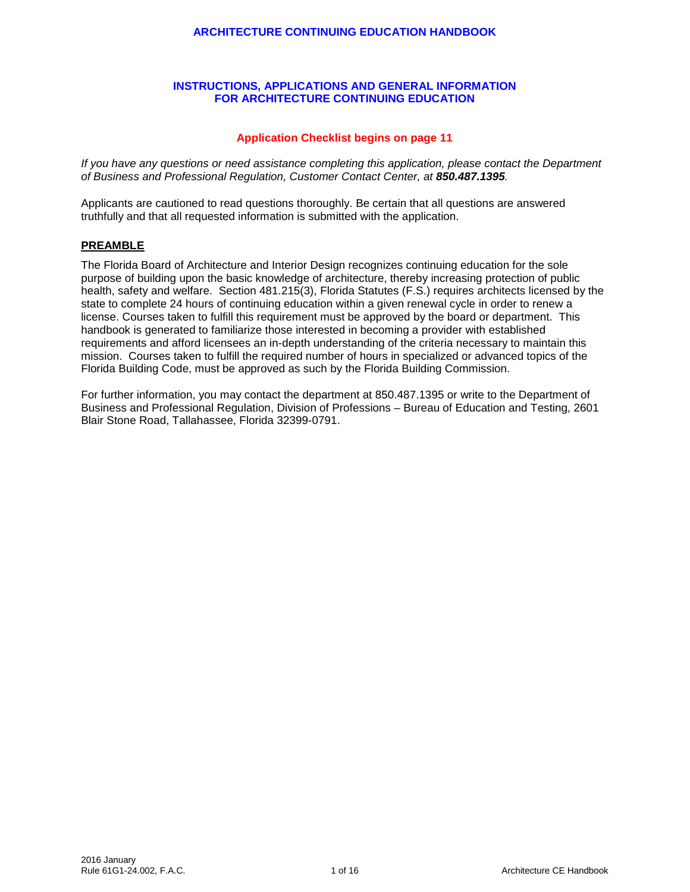#### **ARCHITECTURE CONTINUING EDUCATION HANDBOOK**

### **INSTRUCTIONS, APPLICATIONS AND GENERAL INFORMATION FOR ARCHITECTURE CONTINUING EDUCATION**

### **Application Checklist begins on page 11**

*If you have any questions or need assistance completing this application, please contact the Department of Business and Professional Regulation, Customer Contact Center, at 850.487.1395.*

Applicants are cautioned to read questions thoroughly. Be certain that all questions are answered truthfully and that all requested information is submitted with the application.

#### **PREAMBLE**

The Florida Board of Architecture and Interior Design recognizes continuing education for the sole purpose of building upon the basic knowledge of architecture, thereby increasing protection of public health, safety and welfare. Section 481.215(3), Florida Statutes (F.S.) requires architects licensed by the state to complete 24 hours of continuing education within a given renewal cycle in order to renew a license. Courses taken to fulfill this requirement must be approved by the board or department. This handbook is generated to familiarize those interested in becoming a provider with established requirements and afford licensees an in-depth understanding of the criteria necessary to maintain this mission. Courses taken to fulfill the required number of hours in specialized or advanced topics of the Florida Building Code, must be approved as such by the Florida Building Commission.

For further information, you may contact the department at 850.487.1395 or write to the Department of Business and Professional Regulation, Division of Professions – Bureau of Education and Testing, 2601 Blair Stone Road, Tallahassee, Florida 32399-0791.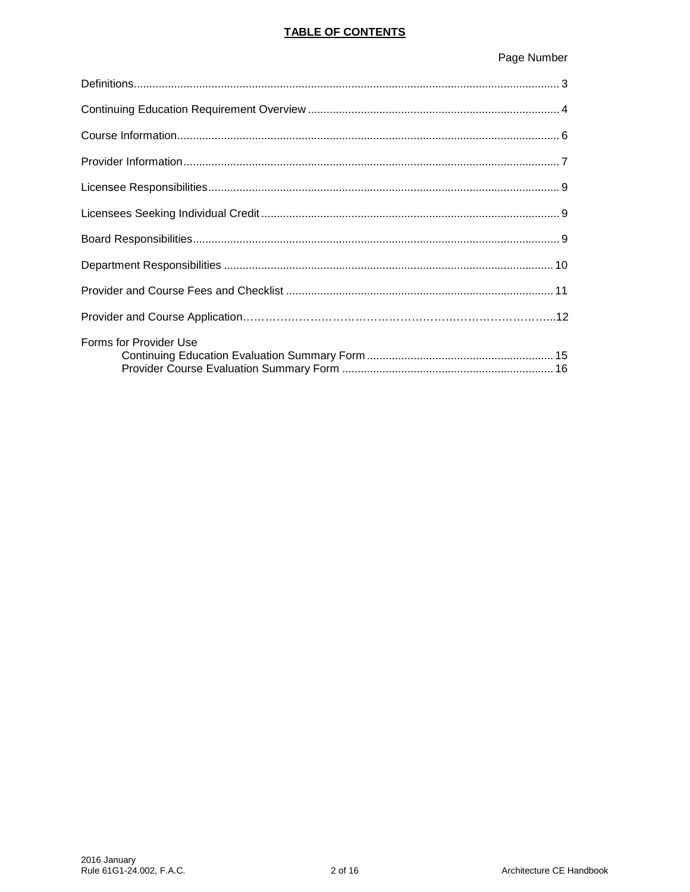## **TABLE OF CONTENTS**

# Page Number

| Forms for Provider Use |
|------------------------|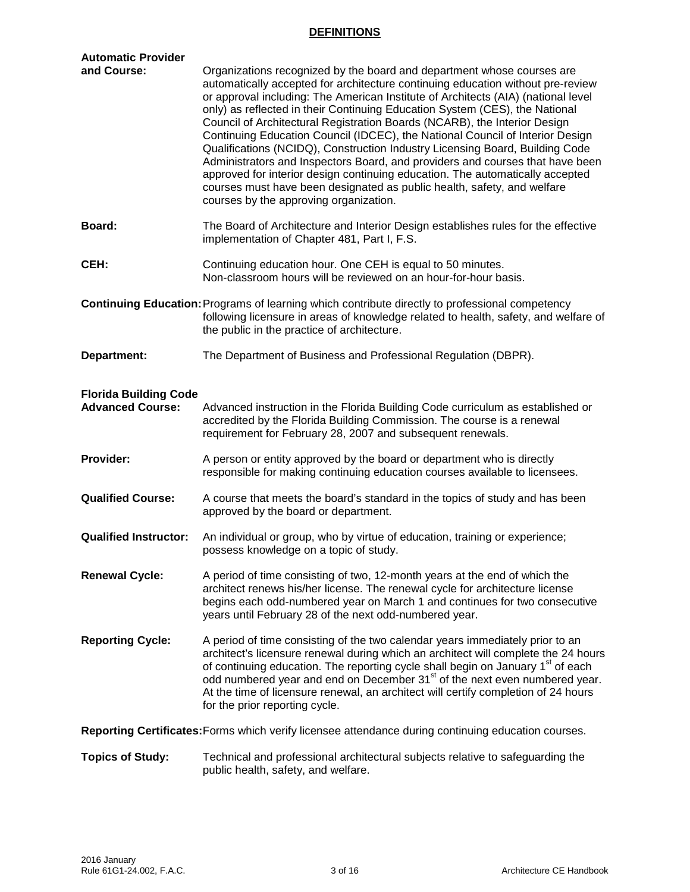## **DEFINITIONS**

| <b>Automatic Provider</b><br>and Course:                | Organizations recognized by the board and department whose courses are<br>automatically accepted for architecture continuing education without pre-review<br>or approval including: The American Institute of Architects (AIA) (national level<br>only) as reflected in their Continuing Education System (CES), the National<br>Council of Architectural Registration Boards (NCARB), the Interior Design<br>Continuing Education Council (IDCEC), the National Council of Interior Design<br>Qualifications (NCIDQ), Construction Industry Licensing Board, Building Code<br>Administrators and Inspectors Board, and providers and courses that have been |  |  |  |
|---------------------------------------------------------|--------------------------------------------------------------------------------------------------------------------------------------------------------------------------------------------------------------------------------------------------------------------------------------------------------------------------------------------------------------------------------------------------------------------------------------------------------------------------------------------------------------------------------------------------------------------------------------------------------------------------------------------------------------|--|--|--|
|                                                         | approved for interior design continuing education. The automatically accepted<br>courses must have been designated as public health, safety, and welfare<br>courses by the approving organization.                                                                                                                                                                                                                                                                                                                                                                                                                                                           |  |  |  |
| Board:                                                  | The Board of Architecture and Interior Design establishes rules for the effective<br>implementation of Chapter 481, Part I, F.S.                                                                                                                                                                                                                                                                                                                                                                                                                                                                                                                             |  |  |  |
| CEH:                                                    | Continuing education hour. One CEH is equal to 50 minutes.<br>Non-classroom hours will be reviewed on an hour-for-hour basis.                                                                                                                                                                                                                                                                                                                                                                                                                                                                                                                                |  |  |  |
|                                                         | <b>Continuing Education: Programs of learning which contribute directly to professional competency</b><br>following licensure in areas of knowledge related to health, safety, and welfare of<br>the public in the practice of architecture.                                                                                                                                                                                                                                                                                                                                                                                                                 |  |  |  |
| Department:                                             | The Department of Business and Professional Regulation (DBPR).                                                                                                                                                                                                                                                                                                                                                                                                                                                                                                                                                                                               |  |  |  |
| <b>Florida Building Code</b><br><b>Advanced Course:</b> | Advanced instruction in the Florida Building Code curriculum as established or<br>accredited by the Florida Building Commission. The course is a renewal<br>requirement for February 28, 2007 and subsequent renewals.                                                                                                                                                                                                                                                                                                                                                                                                                                       |  |  |  |
| Provider:                                               | A person or entity approved by the board or department who is directly<br>responsible for making continuing education courses available to licensees.                                                                                                                                                                                                                                                                                                                                                                                                                                                                                                        |  |  |  |
| <b>Qualified Course:</b>                                | A course that meets the board's standard in the topics of study and has been<br>approved by the board or department.                                                                                                                                                                                                                                                                                                                                                                                                                                                                                                                                         |  |  |  |
| <b>Qualified Instructor:</b>                            | An individual or group, who by virtue of education, training or experience;<br>possess knowledge on a topic of study.                                                                                                                                                                                                                                                                                                                                                                                                                                                                                                                                        |  |  |  |
| <b>Renewal Cycle:</b>                                   | A period of time consisting of two, 12-month years at the end of which the<br>architect renews his/her license. The renewal cycle for architecture license<br>begins each odd-numbered year on March 1 and continues for two consecutive<br>years until February 28 of the next odd-numbered year.                                                                                                                                                                                                                                                                                                                                                           |  |  |  |
| <b>Reporting Cycle:</b>                                 | A period of time consisting of the two calendar years immediately prior to an<br>architect's licensure renewal during which an architect will complete the 24 hours<br>of continuing education. The reporting cycle shall begin on January 1 <sup>st</sup> of each<br>odd numbered year and end on December 31 <sup>st</sup> of the next even numbered year.<br>At the time of licensure renewal, an architect will certify completion of 24 hours<br>for the prior reporting cycle.                                                                                                                                                                         |  |  |  |
|                                                         | Reporting Certificates: Forms which verify licensee attendance during continuing education courses.                                                                                                                                                                                                                                                                                                                                                                                                                                                                                                                                                          |  |  |  |
| <b>Topics of Study:</b>                                 | Technical and professional architectural subjects relative to safeguarding the                                                                                                                                                                                                                                                                                                                                                                                                                                                                                                                                                                               |  |  |  |

public health, safety, and welfare.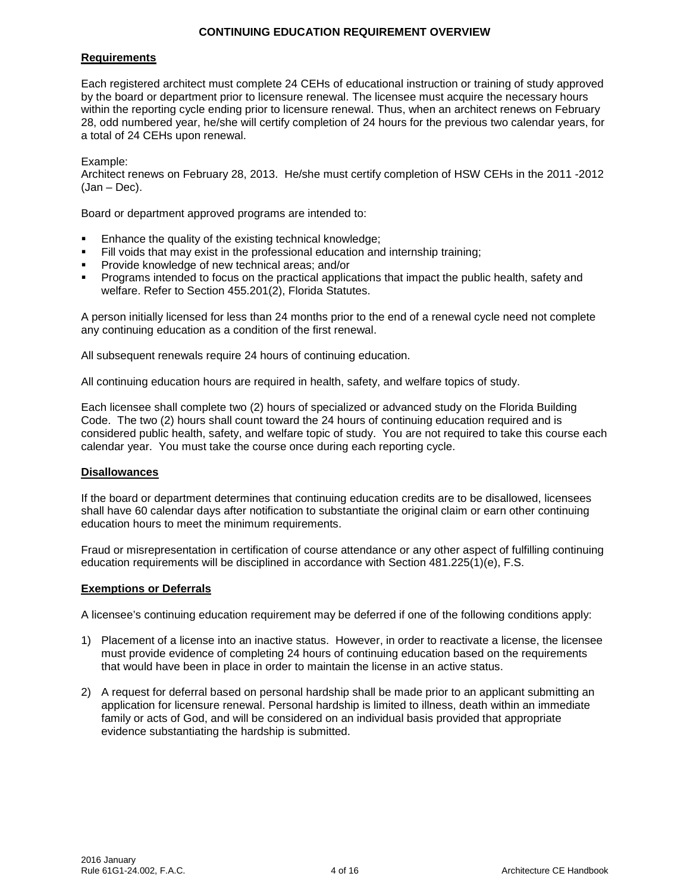#### **CONTINUING EDUCATION REQUIREMENT OVERVIEW**

#### **Requirements**

Each registered architect must complete 24 CEHs of educational instruction or training of study approved by the board or department prior to licensure renewal. The licensee must acquire the necessary hours within the reporting cycle ending prior to licensure renewal. Thus, when an architect renews on February 28, odd numbered year, he/she will certify completion of 24 hours for the previous two calendar years, for a total of 24 CEHs upon renewal.

Example:

Architect renews on February 28, 2013. He/she must certify completion of HSW CEHs in the 2011 -2012 (Jan – Dec).

Board or department approved programs are intended to:

- Enhance the quality of the existing technical knowledge;
- Fill voids that may exist in the professional education and internship training;
- Provide knowledge of new technical areas; and/or
- Programs intended to focus on the practical applications that impact the public health, safety and welfare. Refer to Section 455.201(2), Florida Statutes.

A person initially licensed for less than 24 months prior to the end of a renewal cycle need not complete any continuing education as a condition of the first renewal.

All subsequent renewals require 24 hours of continuing education.

All continuing education hours are required in health, safety, and welfare topics of study.

Each licensee shall complete two (2) hours of specialized or advanced study on the Florida Building Code. The two (2) hours shall count toward the 24 hours of continuing education required and is considered public health, safety, and welfare topic of study. You are not required to take this course each calendar year. You must take the course once during each reporting cycle.

#### **Disallowances**

If the board or department determines that continuing education credits are to be disallowed, licensees shall have 60 calendar days after notification to substantiate the original claim or earn other continuing education hours to meet the minimum requirements.

Fraud or misrepresentation in certification of course attendance or any other aspect of fulfilling continuing education requirements will be disciplined in accordance with Section 481.225(1)(e), F.S.

#### **Exemptions or Deferrals**

A licensee's continuing education requirement may be deferred if one of the following conditions apply:

- 1) Placement of a license into an inactive status. However, in order to reactivate a license, the licensee must provide evidence of completing 24 hours of continuing education based on the requirements that would have been in place in order to maintain the license in an active status.
- 2) A request for deferral based on personal hardship shall be made prior to an applicant submitting an application for licensure renewal. Personal hardship is limited to illness, death within an immediate family or acts of God, and will be considered on an individual basis provided that appropriate evidence substantiating the hardship is submitted.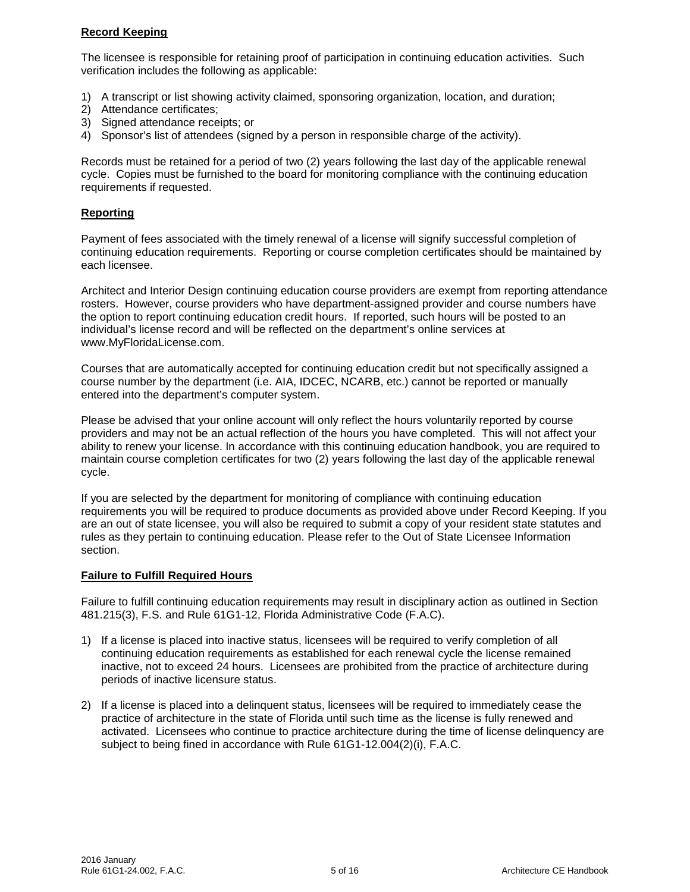## **Record Keeping**

The licensee is responsible for retaining proof of participation in continuing education activities. Such verification includes the following as applicable:

- 1) A transcript or list showing activity claimed, sponsoring organization, location, and duration;
- 2) Attendance certificates;
- 3) Signed attendance receipts; or
- 4) Sponsor's list of attendees (signed by a person in responsible charge of the activity).

Records must be retained for a period of two (2) years following the last day of the applicable renewal cycle. Copies must be furnished to the board for monitoring compliance with the continuing education requirements if requested.

#### **Reporting**

Payment of fees associated with the timely renewal of a license will signify successful completion of continuing education requirements. Reporting or course completion certificates should be maintained by each licensee.

Architect and Interior Design continuing education course providers are exempt from reporting attendance rosters. However, course providers who have department-assigned provider and course numbers have the option to report continuing education credit hours. If reported, such hours will be posted to an individual's license record and will be reflected on the department's online services at www.MyFloridaLicense.com.

Courses that are automatically accepted for continuing education credit but not specifically assigned a course number by the department (i.e. AIA, IDCEC, NCARB, etc.) cannot be reported or manually entered into the department's computer system.

Please be advised that your online account will only reflect the hours voluntarily reported by course providers and may not be an actual reflection of the hours you have completed. This will not affect your ability to renew your license. In accordance with this continuing education handbook, you are required to maintain course completion certificates for two (2) years following the last day of the applicable renewal cycle.

If you are selected by the department for monitoring of compliance with continuing education requirements you will be required to produce documents as provided above under Record Keeping. If you are an out of state licensee, you will also be required to submit a copy of your resident state statutes and rules as they pertain to continuing education. Please refer to the Out of State Licensee Information section.

## **Failure to Fulfill Required Hours**

Failure to fulfill continuing education requirements may result in disciplinary action as outlined in Section 481.215(3), F.S. and Rule 61G1-12, Florida Administrative Code (F.A.C).

- 1) If a license is placed into inactive status, licensees will be required to verify completion of all continuing education requirements as established for each renewal cycle the license remained inactive, not to exceed 24 hours. Licensees are prohibited from the practice of architecture during periods of inactive licensure status.
- 2) If a license is placed into a delinquent status, licensees will be required to immediately cease the practice of architecture in the state of Florida until such time as the license is fully renewed and activated. Licensees who continue to practice architecture during the time of license delinquency are subject to being fined in accordance with Rule 61G1-12.004(2)(i), F.A.C.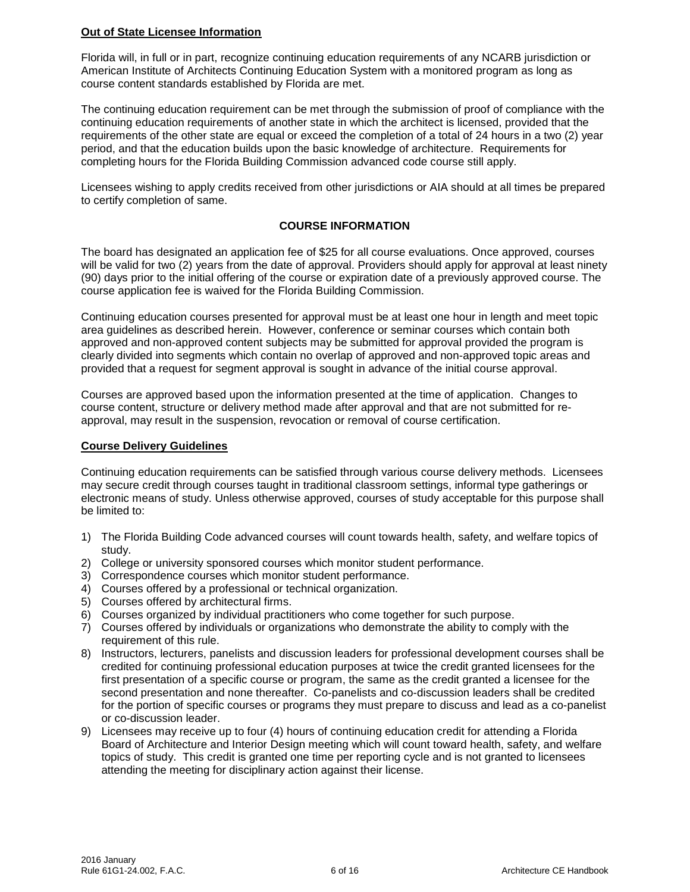## **Out of State Licensee Information**

Florida will, in full or in part, recognize continuing education requirements of any NCARB jurisdiction or American Institute of Architects Continuing Education System with a monitored program as long as course content standards established by Florida are met.

The continuing education requirement can be met through the submission of proof of compliance with the continuing education requirements of another state in which the architect is licensed, provided that the requirements of the other state are equal or exceed the completion of a total of 24 hours in a two (2) year period, and that the education builds upon the basic knowledge of architecture. Requirements for completing hours for the Florida Building Commission advanced code course still apply.

Licensees wishing to apply credits received from other jurisdictions or AIA should at all times be prepared to certify completion of same.

## **COURSE INFORMATION**

The board has designated an application fee of \$25 for all course evaluations. Once approved, courses will be valid for two (2) years from the date of approval. Providers should apply for approval at least ninety (90) days prior to the initial offering of the course or expiration date of a previously approved course. The course application fee is waived for the Florida Building Commission.

Continuing education courses presented for approval must be at least one hour in length and meet topic area guidelines as described herein. However, conference or seminar courses which contain both approved and non-approved content subjects may be submitted for approval provided the program is clearly divided into segments which contain no overlap of approved and non-approved topic areas and provided that a request for segment approval is sought in advance of the initial course approval.

Courses are approved based upon the information presented at the time of application. Changes to course content, structure or delivery method made after approval and that are not submitted for reapproval, may result in the suspension, revocation or removal of course certification.

## **Course Delivery Guidelines**

Continuing education requirements can be satisfied through various course delivery methods. Licensees may secure credit through courses taught in traditional classroom settings, informal type gatherings or electronic means of study. Unless otherwise approved, courses of study acceptable for this purpose shall be limited to:

- 1) The Florida Building Code advanced courses will count towards health, safety, and welfare topics of study.
- 2) College or university sponsored courses which monitor student performance.
- 3) Correspondence courses which monitor student performance.
- 4) Courses offered by a professional or technical organization.
- 5) Courses offered by architectural firms.
- 6) Courses organized by individual practitioners who come together for such purpose.
- 7) Courses offered by individuals or organizations who demonstrate the ability to comply with the requirement of this rule.
- 8) Instructors, lecturers, panelists and discussion leaders for professional development courses shall be credited for continuing professional education purposes at twice the credit granted licensees for the first presentation of a specific course or program, the same as the credit granted a licensee for the second presentation and none thereafter. Co-panelists and co-discussion leaders shall be credited for the portion of specific courses or programs they must prepare to discuss and lead as a co-panelist or co-discussion leader.
- 9) Licensees may receive up to four (4) hours of continuing education credit for attending a Florida Board of Architecture and Interior Design meeting which will count toward health, safety, and welfare topics of study. This credit is granted one time per reporting cycle and is not granted to licensees attending the meeting for disciplinary action against their license.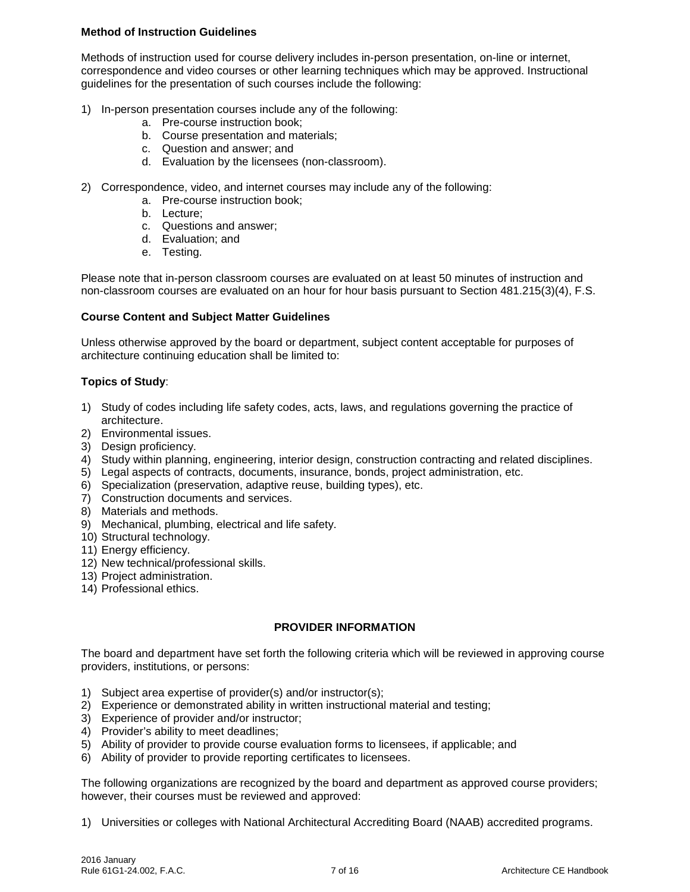## **Method of Instruction Guidelines**

Methods of instruction used for course delivery includes in-person presentation, on-line or internet, correspondence and video courses or other learning techniques which may be approved. Instructional guidelines for the presentation of such courses include the following:

- 1) In-person presentation courses include any of the following:
	- a. Pre-course instruction book;
	- b. Course presentation and materials;
	- c. Question and answer; and
	- d. Evaluation by the licensees (non-classroom).
- 2) Correspondence, video, and internet courses may include any of the following:
	- a. Pre-course instruction book;
	- b. Lecture;
	- c. Questions and answer;
	- d. Evaluation; and
	- e. Testing.

Please note that in-person classroom courses are evaluated on at least 50 minutes of instruction and non-classroom courses are evaluated on an hour for hour basis pursuant to Section 481.215(3)(4), F.S.

#### **Course Content and Subject Matter Guidelines**

Unless otherwise approved by the board or department, subject content acceptable for purposes of architecture continuing education shall be limited to:

#### **Topics of Study**:

- 1) Study of codes including life safety codes, acts, laws, and regulations governing the practice of architecture.
- 2) Environmental issues.
- 3) Design proficiency.
- 4) Study within planning, engineering, interior design, construction contracting and related disciplines.
- 5) Legal aspects of contracts, documents, insurance, bonds, project administration, etc.
- 6) Specialization (preservation, adaptive reuse, building types), etc.
- 7) Construction documents and services.
- 8) Materials and methods.
- 9) Mechanical, plumbing, electrical and life safety.
- 10) Structural technology.
- 11) Energy efficiency.
- 12) New technical/professional skills.
- 13) Project administration.
- 14) Professional ethics.

## **PROVIDER INFORMATION**

The board and department have set forth the following criteria which will be reviewed in approving course providers, institutions, or persons:

- 1) Subject area expertise of provider(s) and/or instructor(s);
- 2) Experience or demonstrated ability in written instructional material and testing;
- 3) Experience of provider and/or instructor;
- 4) Provider's ability to meet deadlines;
- 5) Ability of provider to provide course evaluation forms to licensees, if applicable; and
- 6) Ability of provider to provide reporting certificates to licensees.

The following organizations are recognized by the board and department as approved course providers; however, their courses must be reviewed and approved:

1) Universities or colleges with National Architectural Accrediting Board (NAAB) accredited programs.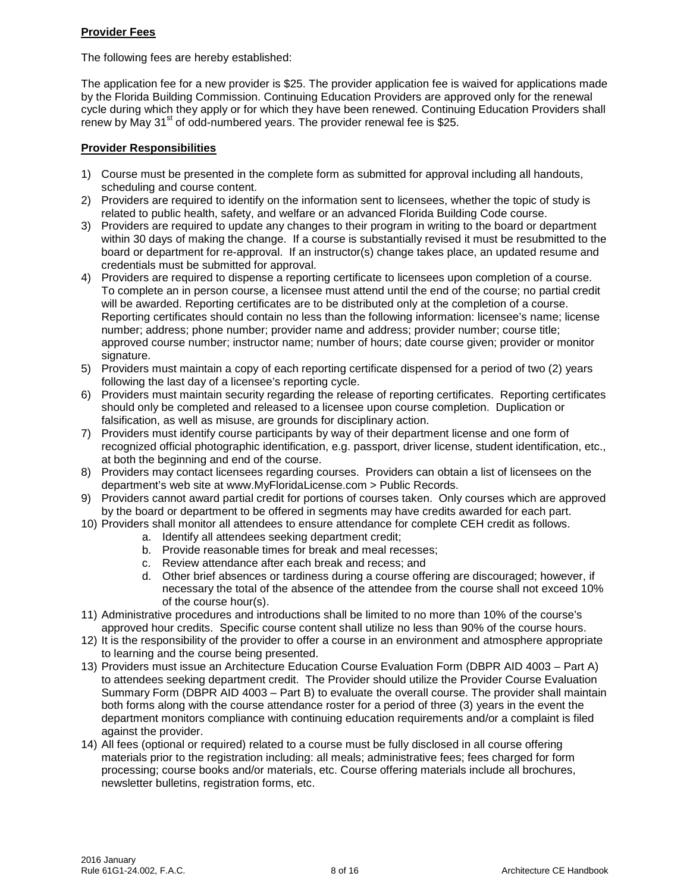## **Provider Fees**

The following fees are hereby established:

The application fee for a new provider is \$25. The provider application fee is waived for applications made by the Florida Building Commission. Continuing Education Providers are approved only for the renewal cycle during which they apply or for which they have been renewed. Continuing Education Providers shall renew by May  $31<sup>st</sup>$  of odd-numbered years. The provider renewal fee is \$25.

## **Provider Responsibilities**

- 1) Course must be presented in the complete form as submitted for approval including all handouts, scheduling and course content.
- 2) Providers are required to identify on the information sent to licensees, whether the topic of study is related to public health, safety, and welfare or an advanced Florida Building Code course.
- 3) Providers are required to update any changes to their program in writing to the board or department within 30 days of making the change. If a course is substantially revised it must be resubmitted to the board or department for re-approval. If an instructor(s) change takes place, an updated resume and credentials must be submitted for approval.
- 4) Providers are required to dispense a reporting certificate to licensees upon completion of a course. To complete an in person course, a licensee must attend until the end of the course; no partial credit will be awarded. Reporting certificates are to be distributed only at the completion of a course. Reporting certificates should contain no less than the following information: licensee's name; license number; address; phone number; provider name and address; provider number; course title; approved course number; instructor name; number of hours; date course given; provider or monitor signature.
- 5) Providers must maintain a copy of each reporting certificate dispensed for a period of two (2) years following the last day of a licensee's reporting cycle.
- 6) Providers must maintain security regarding the release of reporting certificates. Reporting certificates should only be completed and released to a licensee upon course completion. Duplication or falsification, as well as misuse, are grounds for disciplinary action.
- 7) Providers must identify course participants by way of their department license and one form of recognized official photographic identification, e.g. passport, driver license, student identification, etc., at both the beginning and end of the course.
- 8) Providers may contact licensees regarding courses. Providers can obtain a list of licensees on the department's web site at www.MyFloridaLicense.com > Public Records.
- 9) Providers cannot award partial credit for portions of courses taken. Only courses which are approved by the board or department to be offered in segments may have credits awarded for each part.
- 10) Providers shall monitor all attendees to ensure attendance for complete CEH credit as follows.
	- a. Identify all attendees seeking department credit;
	- b. Provide reasonable times for break and meal recesses;
	- c. Review attendance after each break and recess; and
	- d. Other brief absences or tardiness during a course offering are discouraged; however, if necessary the total of the absence of the attendee from the course shall not exceed 10% of the course hour(s).
- 11) Administrative procedures and introductions shall be limited to no more than 10% of the course's approved hour credits. Specific course content shall utilize no less than 90% of the course hours.
- 12) It is the responsibility of the provider to offer a course in an environment and atmosphere appropriate to learning and the course being presented.
- 13) Providers must issue an Architecture Education Course Evaluation Form (DBPR AID 4003 Part A) to attendees seeking department credit. The Provider should utilize the Provider Course Evaluation Summary Form (DBPR AID 4003 – Part B) to evaluate the overall course. The provider shall maintain both forms along with the course attendance roster for a period of three (3) years in the event the department monitors compliance with continuing education requirements and/or a complaint is filed against the provider.
- 14) All fees (optional or required) related to a course must be fully disclosed in all course offering materials prior to the registration including: all meals; administrative fees; fees charged for form processing; course books and/or materials, etc. Course offering materials include all brochures, newsletter bulletins, registration forms, etc.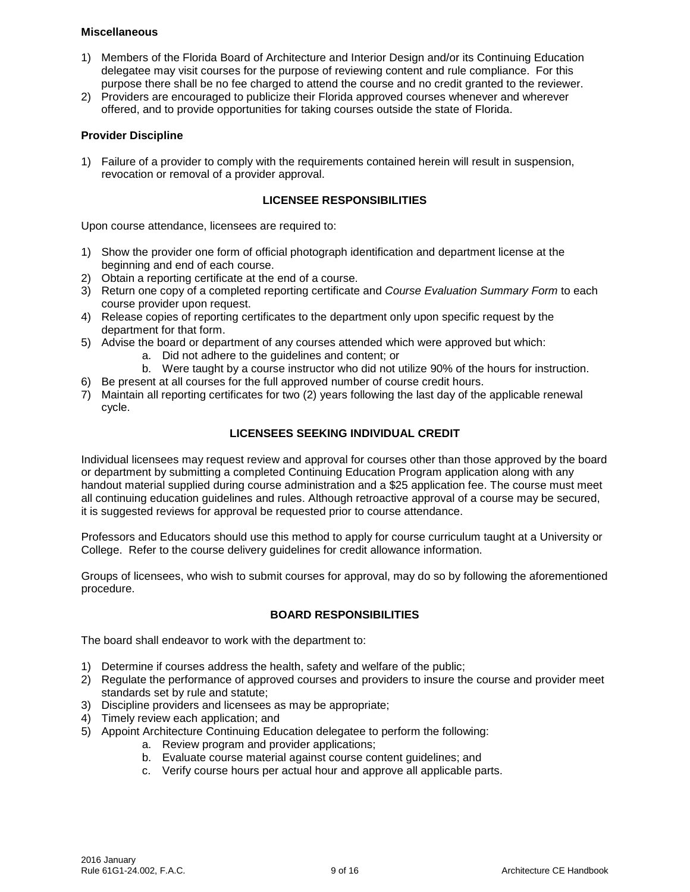#### **Miscellaneous**

- 1) Members of the Florida Board of Architecture and Interior Design and/or its Continuing Education delegatee may visit courses for the purpose of reviewing content and rule compliance. For this purpose there shall be no fee charged to attend the course and no credit granted to the reviewer.
- 2) Providers are encouraged to publicize their Florida approved courses whenever and wherever offered, and to provide opportunities for taking courses outside the state of Florida.

#### **Provider Discipline**

1) Failure of a provider to comply with the requirements contained herein will result in suspension, revocation or removal of a provider approval.

#### **LICENSEE RESPONSIBILITIES**

Upon course attendance, licensees are required to:

- 1) Show the provider one form of official photograph identification and department license at the beginning and end of each course.
- 2) Obtain a reporting certificate at the end of a course.
- 3) Return one copy of a completed reporting certificate and *Course Evaluation Summary Form* to each course provider upon request.
- 4) Release copies of reporting certificates to the department only upon specific request by the department for that form.
- 5) Advise the board or department of any courses attended which were approved but which:
	- a. Did not adhere to the guidelines and content; or
	- b. Were taught by a course instructor who did not utilize 90% of the hours for instruction.
- 6) Be present at all courses for the full approved number of course credit hours.
- 7) Maintain all reporting certificates for two (2) years following the last day of the applicable renewal cycle.

#### **LICENSEES SEEKING INDIVIDUAL CREDIT**

Individual licensees may request review and approval for courses other than those approved by the board or department by submitting a completed Continuing Education Program application along with any handout material supplied during course administration and a \$25 application fee. The course must meet all continuing education guidelines and rules. Although retroactive approval of a course may be secured, it is suggested reviews for approval be requested prior to course attendance.

Professors and Educators should use this method to apply for course curriculum taught at a University or College. Refer to the course delivery guidelines for credit allowance information.

Groups of licensees, who wish to submit courses for approval, may do so by following the aforementioned procedure.

## **BOARD RESPONSIBILITIES**

The board shall endeavor to work with the department to:

- 1) Determine if courses address the health, safety and welfare of the public;
- 2) Regulate the performance of approved courses and providers to insure the course and provider meet standards set by rule and statute;
- 3) Discipline providers and licensees as may be appropriate;
- 4) Timely review each application; and
- 5) Appoint Architecture Continuing Education delegatee to perform the following:
	- a. Review program and provider applications;
	- b. Evaluate course material against course content guidelines; and
	- c. Verify course hours per actual hour and approve all applicable parts.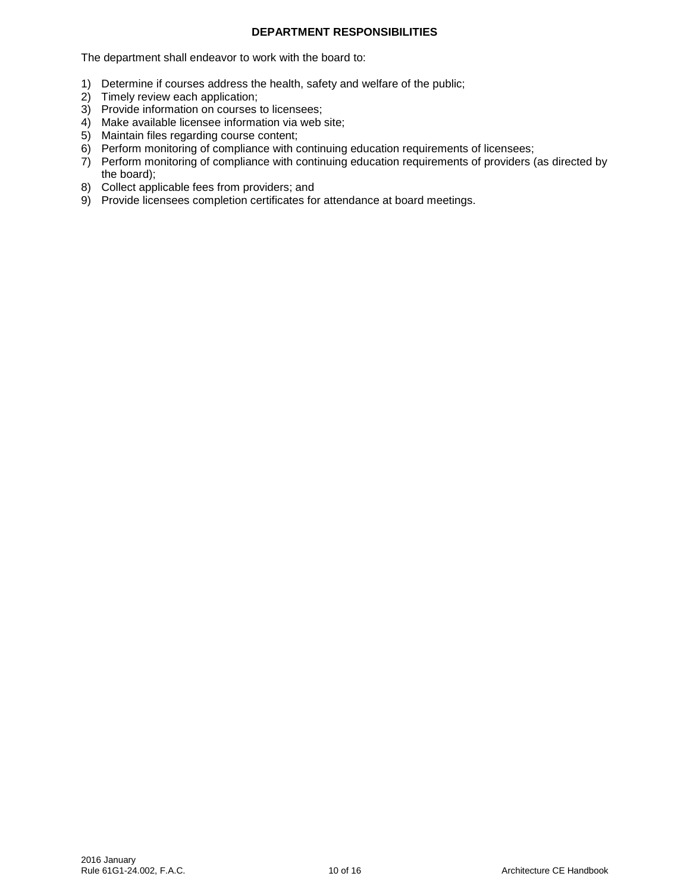## **DEPARTMENT RESPONSIBILITIES**

The department shall endeavor to work with the board to:

- 1) Determine if courses address the health, safety and welfare of the public;
- 2) Timely review each application;
- 3) Provide information on courses to licensees;
- 4) Make available licensee information via web site;
- 5) Maintain files regarding course content;
- 6) Perform monitoring of compliance with continuing education requirements of licensees;
- 7) Perform monitoring of compliance with continuing education requirements of providers (as directed by the board);
- 8) Collect applicable fees from providers; and
- 9) Provide licensees completion certificates for attendance at board meetings.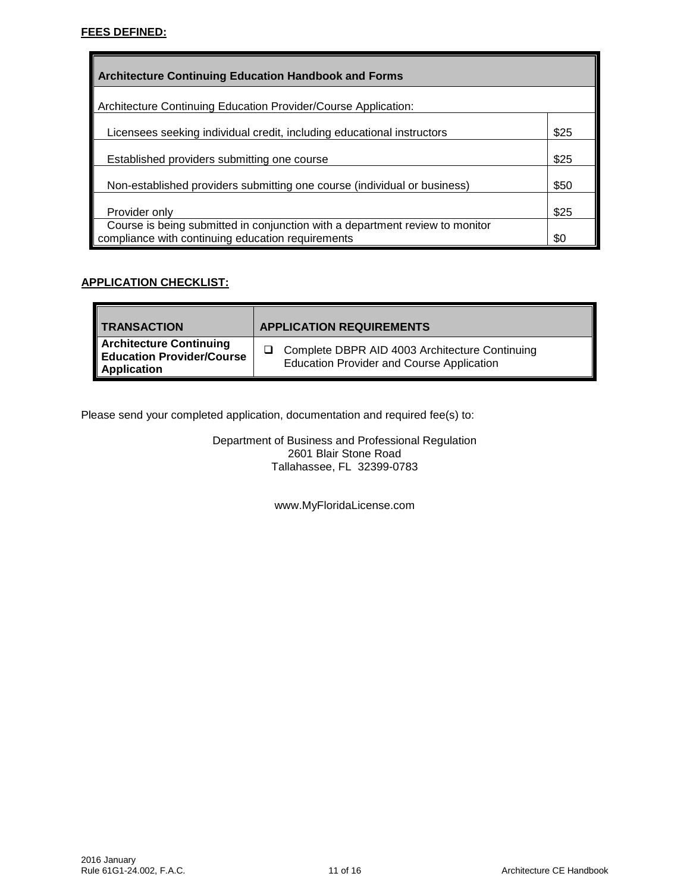| <b>Architecture Continuing Education Handbook and Forms</b>                                                                       |      |
|-----------------------------------------------------------------------------------------------------------------------------------|------|
| Architecture Continuing Education Provider/Course Application:                                                                    |      |
| Licensees seeking individual credit, including educational instructors                                                            | \$25 |
| Established providers submitting one course                                                                                       | \$25 |
| Non-established providers submitting one course (individual or business)                                                          | \$50 |
| Provider only                                                                                                                     | \$25 |
| Course is being submitted in conjunction with a department review to monitor<br>compliance with continuing education requirements | \$0  |

# **APPLICATION CHECKLIST:**

| <b>TRANSACTION</b>                                                                       | <b>APPLICATION REQUIREMENTS</b>                                                                    |
|------------------------------------------------------------------------------------------|----------------------------------------------------------------------------------------------------|
| <b>Architecture Continuing</b><br><b>Education Provider/Course</b><br><b>Application</b> | Complete DBPR AID 4003 Architecture Continuing<br><b>Education Provider and Course Application</b> |

Please send your completed application, documentation and required fee(s) to:

Department of Business and Professional Regulation 2601 Blair Stone Road Tallahassee, FL 32399-0783

www.MyFloridaLicense.com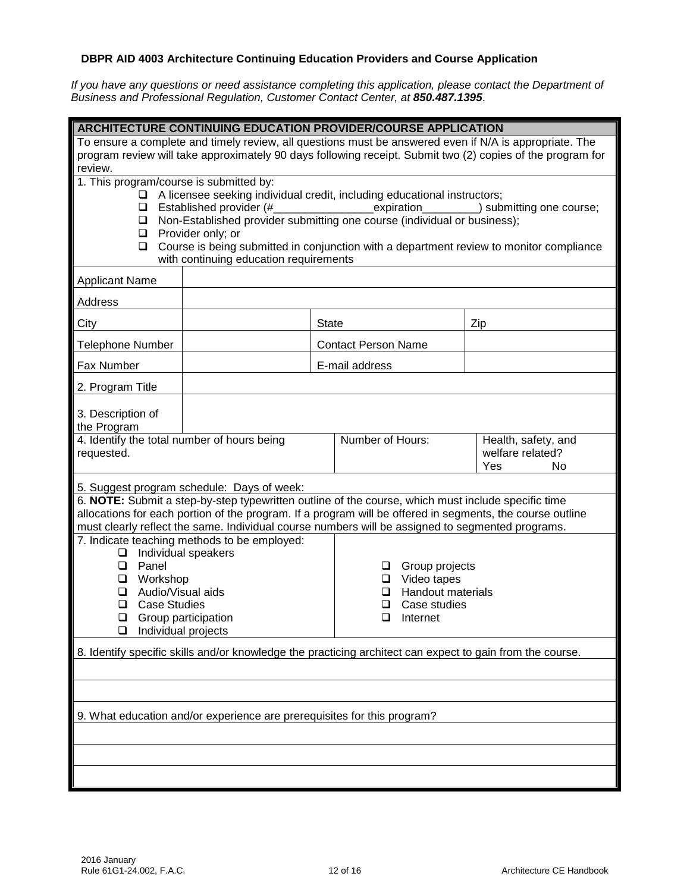# **DBPR AID 4003 Architecture Continuing Education Providers and Course Application**

*If you have any questions or need assistance completing this application, please contact the Department of Business and Professional Regulation, Customer Contact Center, at 850.487.1395*.

| <b>ARCHITECTURE CONTINUING EDUCATION PROVIDER/COURSE APPLICATION</b>                                                  |                                                                                                                                        |              |                                                                                                                                                                                                               |                                         |  |  |  |
|-----------------------------------------------------------------------------------------------------------------------|----------------------------------------------------------------------------------------------------------------------------------------|--------------|---------------------------------------------------------------------------------------------------------------------------------------------------------------------------------------------------------------|-----------------------------------------|--|--|--|
| To ensure a complete and timely review, all questions must be answered even if N/A is appropriate. The                |                                                                                                                                        |              |                                                                                                                                                                                                               |                                         |  |  |  |
| program review will take approximately 90 days following receipt. Submit two (2) copies of the program for<br>review. |                                                                                                                                        |              |                                                                                                                                                                                                               |                                         |  |  |  |
|                                                                                                                       | 1. This program/course is submitted by:                                                                                                |              |                                                                                                                                                                                                               |                                         |  |  |  |
|                                                                                                                       |                                                                                                                                        |              | $\Box$ A licensee seeking individual credit, including educational instructors;                                                                                                                               |                                         |  |  |  |
| $\Box$                                                                                                                | $\Box$ Established provider (#                                                                                                         |              | expiration<br>Non-Established provider submitting one course (individual or business);                                                                                                                        | _) submitting one course;               |  |  |  |
|                                                                                                                       | $\Box$ Provider only; or                                                                                                               |              |                                                                                                                                                                                                               |                                         |  |  |  |
|                                                                                                                       | Course is being submitted in conjunction with a department review to monitor compliance<br>❏<br>with continuing education requirements |              |                                                                                                                                                                                                               |                                         |  |  |  |
| <b>Applicant Name</b>                                                                                                 |                                                                                                                                        |              |                                                                                                                                                                                                               |                                         |  |  |  |
| Address                                                                                                               |                                                                                                                                        |              |                                                                                                                                                                                                               |                                         |  |  |  |
| City                                                                                                                  |                                                                                                                                        | <b>State</b> |                                                                                                                                                                                                               | Zip                                     |  |  |  |
| <b>Telephone Number</b>                                                                                               |                                                                                                                                        |              | <b>Contact Person Name</b>                                                                                                                                                                                    |                                         |  |  |  |
| <b>Fax Number</b>                                                                                                     |                                                                                                                                        |              | E-mail address                                                                                                                                                                                                |                                         |  |  |  |
| 2. Program Title                                                                                                      |                                                                                                                                        |              |                                                                                                                                                                                                               |                                         |  |  |  |
| 3. Description of                                                                                                     |                                                                                                                                        |              |                                                                                                                                                                                                               |                                         |  |  |  |
| the Program                                                                                                           |                                                                                                                                        |              |                                                                                                                                                                                                               |                                         |  |  |  |
| 4. Identify the total number of hours being<br>requested.                                                             |                                                                                                                                        |              | Number of Hours:                                                                                                                                                                                              | Health, safety, and<br>welfare related? |  |  |  |
|                                                                                                                       |                                                                                                                                        |              |                                                                                                                                                                                                               | Yes<br>No                               |  |  |  |
|                                                                                                                       | 5. Suggest program schedule: Days of week:                                                                                             |              |                                                                                                                                                                                                               |                                         |  |  |  |
|                                                                                                                       |                                                                                                                                        |              | 6. NOTE: Submit a step-by-step typewritten outline of the course, which must include specific time                                                                                                            |                                         |  |  |  |
|                                                                                                                       |                                                                                                                                        |              | allocations for each portion of the program. If a program will be offered in segments, the course outline<br>must clearly reflect the same. Individual course numbers will be assigned to segmented programs. |                                         |  |  |  |
|                                                                                                                       | 7. Indicate teaching methods to be employed:                                                                                           |              |                                                                                                                                                                                                               |                                         |  |  |  |
| Individual speakers<br>❏<br>Panel<br>❏                                                                                |                                                                                                                                        |              | Group projects<br>⊔                                                                                                                                                                                           |                                         |  |  |  |
| Workshop<br>❏                                                                                                         |                                                                                                                                        |              | $\Box$ Video tapes                                                                                                                                                                                            |                                         |  |  |  |
| Audio/Visual aids<br>❏                                                                                                |                                                                                                                                        |              | <b>Handout materials</b>                                                                                                                                                                                      |                                         |  |  |  |
| <b>Case Studies</b><br>❏<br>$\Box$ Group participation                                                                |                                                                                                                                        |              | Case studies<br>❏<br>П.<br>Internet                                                                                                                                                                           |                                         |  |  |  |
| Individual projects<br>$\Box$                                                                                         |                                                                                                                                        |              |                                                                                                                                                                                                               |                                         |  |  |  |
| 8. Identify specific skills and/or knowledge the practicing architect can expect to gain from the course.             |                                                                                                                                        |              |                                                                                                                                                                                                               |                                         |  |  |  |
|                                                                                                                       |                                                                                                                                        |              |                                                                                                                                                                                                               |                                         |  |  |  |
|                                                                                                                       |                                                                                                                                        |              |                                                                                                                                                                                                               |                                         |  |  |  |
| 9. What education and/or experience are prerequisites for this program?                                               |                                                                                                                                        |              |                                                                                                                                                                                                               |                                         |  |  |  |
|                                                                                                                       |                                                                                                                                        |              |                                                                                                                                                                                                               |                                         |  |  |  |
|                                                                                                                       |                                                                                                                                        |              |                                                                                                                                                                                                               |                                         |  |  |  |
|                                                                                                                       |                                                                                                                                        |              |                                                                                                                                                                                                               |                                         |  |  |  |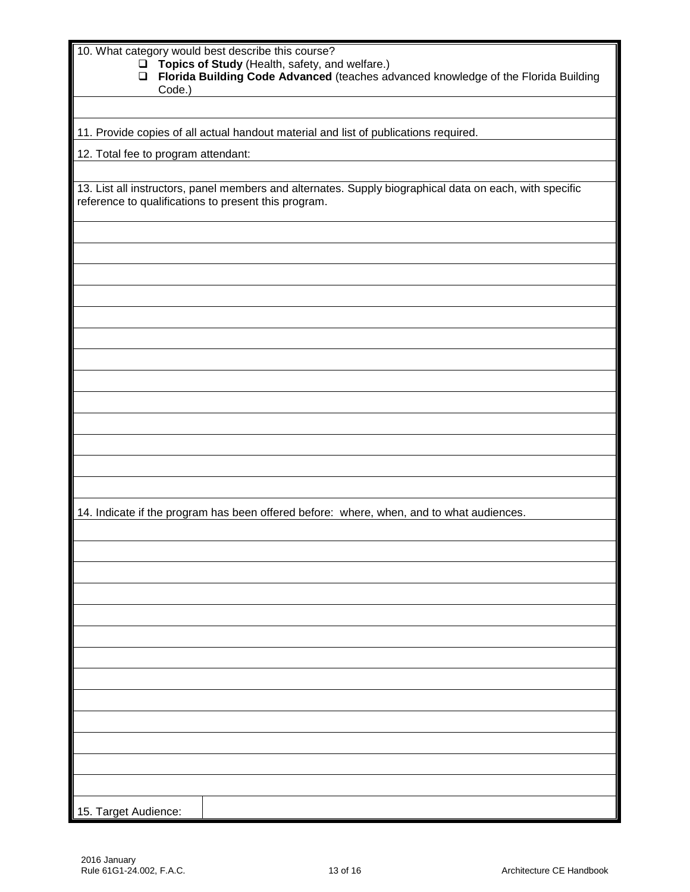| 10. What category would best describe this course?<br>Topics of Study (Health, safety, and welfare.)<br>$\Box$<br>Florida Building Code Advanced (teaches advanced knowledge of the Florida Building<br>$\Box$<br>Code.) |
|--------------------------------------------------------------------------------------------------------------------------------------------------------------------------------------------------------------------------|
|                                                                                                                                                                                                                          |
| 11. Provide copies of all actual handout material and list of publications required.                                                                                                                                     |
| 12. Total fee to program attendant:                                                                                                                                                                                      |
|                                                                                                                                                                                                                          |
| 13. List all instructors, panel members and alternates. Supply biographical data on each, with specific<br>reference to qualifications to present this program.                                                          |
|                                                                                                                                                                                                                          |
|                                                                                                                                                                                                                          |
|                                                                                                                                                                                                                          |
|                                                                                                                                                                                                                          |
|                                                                                                                                                                                                                          |
|                                                                                                                                                                                                                          |
|                                                                                                                                                                                                                          |
|                                                                                                                                                                                                                          |
|                                                                                                                                                                                                                          |
|                                                                                                                                                                                                                          |
|                                                                                                                                                                                                                          |
|                                                                                                                                                                                                                          |
|                                                                                                                                                                                                                          |
| 14. Indicate if the program has been offered before: where, when, and to what audiences.                                                                                                                                 |
|                                                                                                                                                                                                                          |
|                                                                                                                                                                                                                          |
|                                                                                                                                                                                                                          |
|                                                                                                                                                                                                                          |
|                                                                                                                                                                                                                          |
|                                                                                                                                                                                                                          |
|                                                                                                                                                                                                                          |
|                                                                                                                                                                                                                          |
|                                                                                                                                                                                                                          |
|                                                                                                                                                                                                                          |
|                                                                                                                                                                                                                          |
|                                                                                                                                                                                                                          |
|                                                                                                                                                                                                                          |
| 15. Target Audience:                                                                                                                                                                                                     |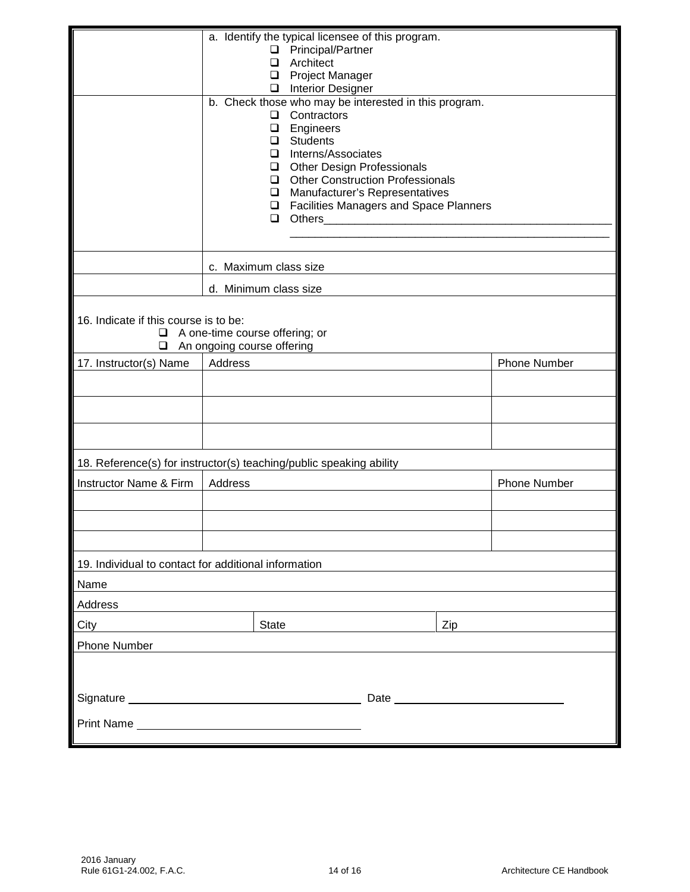|                                                      | a. Identify the typical licensee of this program.<br>□ Principal/Partner<br>Architect<br>□<br><b>Project Manager</b><br>$\Box$<br>Interior Designer<br>b. Check those who may be interested in this program.<br>Contractors<br>$\Box$<br>Engineers<br>❏<br><b>Students</b><br>$\Box$<br>Interns/Associates<br>$\Box$<br>Other Design Professionals<br>Other Construction Professionals<br>Manufacturer's Representatives<br>$\Box$<br><b>Q</b> Facilities Managers and Space Planners |                     |  |  |  |  |
|------------------------------------------------------|---------------------------------------------------------------------------------------------------------------------------------------------------------------------------------------------------------------------------------------------------------------------------------------------------------------------------------------------------------------------------------------------------------------------------------------------------------------------------------------|---------------------|--|--|--|--|
|                                                      | $\Box$                                                                                                                                                                                                                                                                                                                                                                                                                                                                                |                     |  |  |  |  |
|                                                      | c. Maximum class size                                                                                                                                                                                                                                                                                                                                                                                                                                                                 |                     |  |  |  |  |
|                                                      | d. Minimum class size                                                                                                                                                                                                                                                                                                                                                                                                                                                                 |                     |  |  |  |  |
| ❏                                                    | 16. Indicate if this course is to be:<br>$\Box$ A one-time course offering; or<br>An ongoing course offering                                                                                                                                                                                                                                                                                                                                                                          |                     |  |  |  |  |
| 17. Instructor(s) Name                               | Address                                                                                                                                                                                                                                                                                                                                                                                                                                                                               | <b>Phone Number</b> |  |  |  |  |
|                                                      |                                                                                                                                                                                                                                                                                                                                                                                                                                                                                       |                     |  |  |  |  |
|                                                      |                                                                                                                                                                                                                                                                                                                                                                                                                                                                                       |                     |  |  |  |  |
|                                                      |                                                                                                                                                                                                                                                                                                                                                                                                                                                                                       |                     |  |  |  |  |
|                                                      | 18. Reference(s) for instructor(s) teaching/public speaking ability                                                                                                                                                                                                                                                                                                                                                                                                                   |                     |  |  |  |  |
| Instructor Name & Firm                               | Address                                                                                                                                                                                                                                                                                                                                                                                                                                                                               | <b>Phone Number</b> |  |  |  |  |
|                                                      |                                                                                                                                                                                                                                                                                                                                                                                                                                                                                       |                     |  |  |  |  |
|                                                      |                                                                                                                                                                                                                                                                                                                                                                                                                                                                                       |                     |  |  |  |  |
|                                                      |                                                                                                                                                                                                                                                                                                                                                                                                                                                                                       |                     |  |  |  |  |
| 19. Individual to contact for additional information |                                                                                                                                                                                                                                                                                                                                                                                                                                                                                       |                     |  |  |  |  |
| Name                                                 |                                                                                                                                                                                                                                                                                                                                                                                                                                                                                       |                     |  |  |  |  |
| Address                                              |                                                                                                                                                                                                                                                                                                                                                                                                                                                                                       |                     |  |  |  |  |
| City                                                 | State<br>Zip                                                                                                                                                                                                                                                                                                                                                                                                                                                                          |                     |  |  |  |  |
| <b>Phone Number</b>                                  |                                                                                                                                                                                                                                                                                                                                                                                                                                                                                       |                     |  |  |  |  |
|                                                      |                                                                                                                                                                                                                                                                                                                                                                                                                                                                                       |                     |  |  |  |  |
|                                                      |                                                                                                                                                                                                                                                                                                                                                                                                                                                                                       |                     |  |  |  |  |
|                                                      | Print Name <b>Discussion Contract Contract Contract Contract Contract Contract Contract Contract Contract Contract Contract Contract Contract Contract Contract Contract Contract Contract Contract Contract Contract Contract C</b>                                                                                                                                                                                                                                                  |                     |  |  |  |  |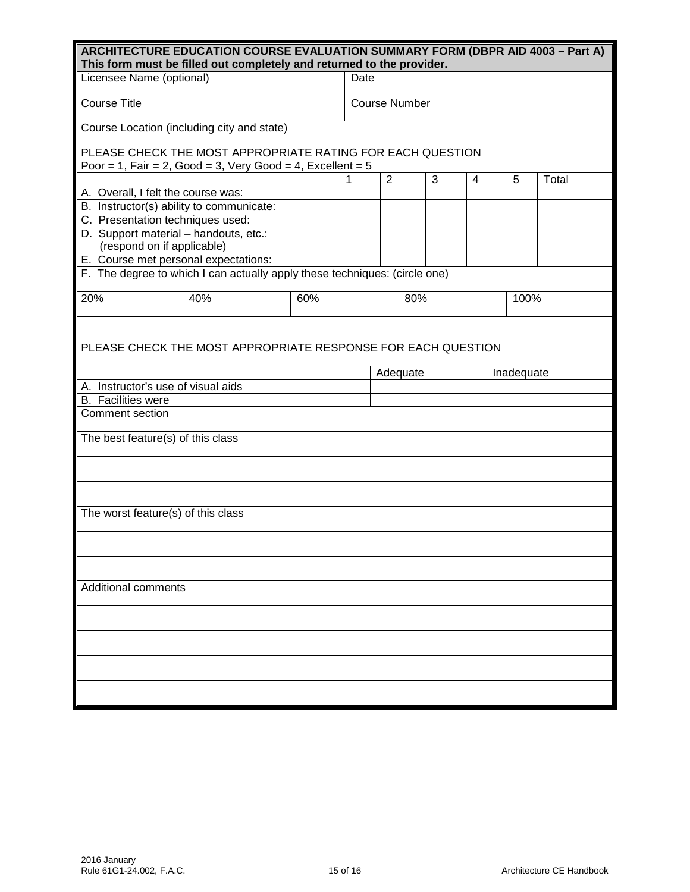| ARCHITECTURE EDUCATION COURSE EVALUATION SUMMARY FORM (DBPR AID 4003 - Part A) |                                                                            |     |  |                      |     |   |            |       |  |
|--------------------------------------------------------------------------------|----------------------------------------------------------------------------|-----|--|----------------------|-----|---|------------|-------|--|
| This form must be filled out completely and returned to the provider.          |                                                                            |     |  |                      |     |   |            |       |  |
| Licensee Name (optional)<br>Date                                               |                                                                            |     |  |                      |     |   |            |       |  |
|                                                                                |                                                                            |     |  |                      |     |   |            |       |  |
| <b>Course Title</b>                                                            |                                                                            |     |  | <b>Course Number</b> |     |   |            |       |  |
|                                                                                | Course Location (including city and state)                                 |     |  |                      |     |   |            |       |  |
|                                                                                | PLEASE CHECK THE MOST APPROPRIATE RATING FOR EACH QUESTION                 |     |  |                      |     |   |            |       |  |
|                                                                                | Poor = 1, Fair = 2, Good = 3, Very Good = 4, Excellent = $5$               |     |  |                      |     |   |            |       |  |
| A. Overall, I felt the course was:                                             |                                                                            |     |  | $\overline{2}$       | 3   | 4 | 5          | Total |  |
| B. Instructor(s) ability to communicate:                                       |                                                                            |     |  |                      |     |   |            |       |  |
|                                                                                |                                                                            |     |  |                      |     |   |            |       |  |
| C. Presentation techniques used:                                               |                                                                            |     |  |                      |     |   |            |       |  |
| D. Support material - handouts, etc.:<br>(respond on if applicable)            |                                                                            |     |  |                      |     |   |            |       |  |
| E. Course met personal expectations:                                           |                                                                            |     |  |                      |     |   |            |       |  |
|                                                                                | F. The degree to which I can actually apply these techniques: (circle one) |     |  |                      |     |   |            |       |  |
|                                                                                |                                                                            |     |  |                      |     |   |            |       |  |
| 20%                                                                            | 40%                                                                        | 60% |  |                      | 80% |   | 100%       |       |  |
|                                                                                |                                                                            |     |  |                      |     |   |            |       |  |
|                                                                                |                                                                            |     |  |                      |     |   |            |       |  |
|                                                                                | PLEASE CHECK THE MOST APPROPRIATE RESPONSE FOR EACH QUESTION               |     |  |                      |     |   |            |       |  |
|                                                                                |                                                                            |     |  | Adequate             |     |   | Inadequate |       |  |
| A. Instructor's use of visual aids                                             |                                                                            |     |  |                      |     |   |            |       |  |
| <b>B.</b> Facilities were                                                      |                                                                            |     |  |                      |     |   |            |       |  |
| Comment section                                                                |                                                                            |     |  |                      |     |   |            |       |  |
| The best feature(s) of this class                                              |                                                                            |     |  |                      |     |   |            |       |  |
|                                                                                |                                                                            |     |  |                      |     |   |            |       |  |
|                                                                                |                                                                            |     |  |                      |     |   |            |       |  |
|                                                                                |                                                                            |     |  |                      |     |   |            |       |  |
| The worst feature(s) of this class                                             |                                                                            |     |  |                      |     |   |            |       |  |
|                                                                                |                                                                            |     |  |                      |     |   |            |       |  |
|                                                                                |                                                                            |     |  |                      |     |   |            |       |  |
|                                                                                |                                                                            |     |  |                      |     |   |            |       |  |
| <b>Additional comments</b>                                                     |                                                                            |     |  |                      |     |   |            |       |  |
|                                                                                |                                                                            |     |  |                      |     |   |            |       |  |
|                                                                                |                                                                            |     |  |                      |     |   |            |       |  |
|                                                                                |                                                                            |     |  |                      |     |   |            |       |  |
|                                                                                |                                                                            |     |  |                      |     |   |            |       |  |
|                                                                                |                                                                            |     |  |                      |     |   |            |       |  |